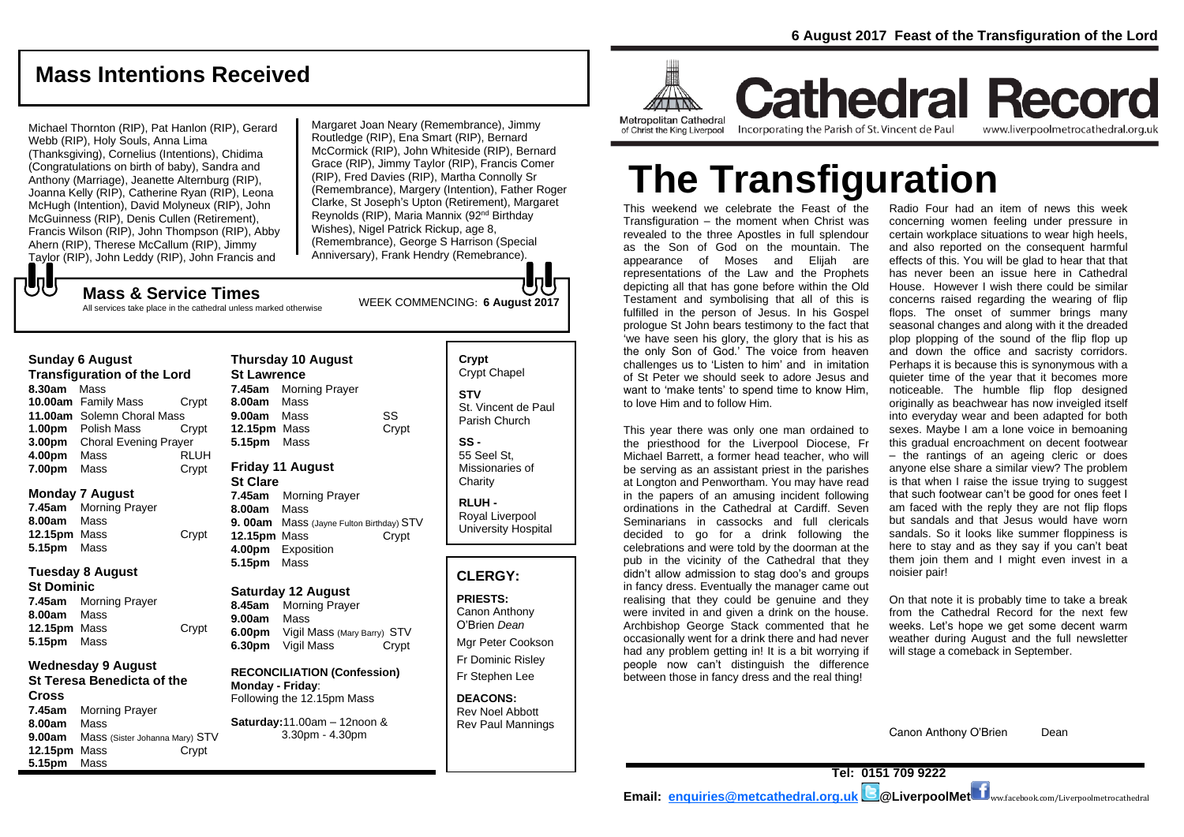## **Mass Intentions Received**

Michael Thornton (RIP), Pat Hanlon (RIP), Gerard Webb (RIP), Holy Souls, Anna Lima (Thanksgiving), Cornelius (Intentions), Chidima (Congratulations on birth of baby), Sandra and Anthony (Marriage), Jeanette Alternburg (RIP), Joanna Kelly (RIP), Catherine Ryan (RIP), Leona McHugh (Intention), David Molyneux (RIP), John McGuinness (RIP), Denis Cullen (Retirement), Francis Wilson (RIP), John Thompson (RIP), Abby Ahern (RIP), Therese McCallum (RIP), Jimmy Taylor (RIP), John Leddy (RIP), John Francis and

Margaret Joan Neary (Remembrance), Jimmy Routledge (RIP), Ena Smart (RIP), Bernard McCormick (RIP), John Whiteside (RIP), Bernard Grace (RIP), Jimmy Taylor (RIP), Francis Comer (RIP), Fred Davies (RIP), Martha Connolly Sr (Remembrance), Margery (Intention), Father Roger Clarke, St Joseph's Upton (Retirement), Margaret Reynolds (RIP), Maria Mannix (92nd Birthday Wishes), Nigel Patrick Rickup, age 8, (Remembrance), George S Harrison (Special Anniversary), Frank Hendry (Remebrance).

もし

WEEK COMMENCING: **6 August <sup>2017</sup> Mass & Service Times**

All services take place in the cathedral unless marked otherwise

#### **Sunday 6 August**

**Transfiguration of the Lord 8.30am** Mass **10.00am** Family Mass Crypt **11.00am** Solemn Choral Mass **1.00pm** Polish Mass Crypt **3.00pm** Choral Evening Prayer **4.00pm** Mass RLUH **7.00pm** Mass **Crypt** 

#### **Monday 7 August**

**7.45am** Morning Prayer **8.00am** Mass **12.15pm** Mass Crypt **5.15pm** Mass

#### **Tuesday 8 August**

**St Dominic 7.45am** Morning Prayer **8.00am** Mass **12.15pm** Mass Crypt **5.15pm** Mass

#### **Wednesday 9 August St Teresa Benedicta of the Cross 7.45am** Morning Prayer **8.00am** Mass **9.00am** Mass (Sister Johanna Mary) STV **12.15pm** Mass Crypt **5.15pm** Mass

**St Lawrence 7.45am** Morning Prayer **8.00am** Mass **9.00am** Mass SS **12.15pm** Mass Crypt **5.15pm** Mass **Friday 11 August St Clare 7.45am** Morning Prayer **8.00am** Mass **9. 00am** Mass (Jayne Fulton Birthday) STV **12.15pm** Mass Crypt **4.00pm** Exposition **5.15pm** Mass **Saturday 12 August 8.45am** Morning Prayer

**Thursday 10 August** 

**9.00am** Mass **6.00pm** Vigil Mass (Mary Barry) STV **6.30pm** Vigil Mass Crypt

**RECONCILIATION (Confession) Monday - Friday**: Following the 12.15pm Mass

**Saturday:**11.00am – 12noon & 3.30pm - 4.30pm

**Crypt**  Crypt Chapel **STV** St. Vincent de Paul Parish Church

**SS -** 55 Seel St, Missionaries of **Charity** 

**RLUH -** Royal Liverpool University Hospital

#### **CLERGY:**

**PRIESTS:** Canon Anthony O'Brien *Dean* Mgr Peter Cookson

Fr Dominic Risley Fr Stephen Lee

**DEACONS:** Rev Noel Abbott Rev Paul Mannings



**Cathedral Record** Incorporating the Parish of St. Vincent de Paul www.liverpoolmetrocathedral.org.uk

# **The Transfiguration**

This weekend we celebrate the Feast of the Transfiguration – the moment when Christ was revealed to the three Apostles in full splendour as the Son of God on the mountain. The appearance of Moses and Elijah are representations of the Law and the Prophets depicting all that has gone before within the Old Testament and symbolising that all of this is fulfilled in the person of Jesus. In his Gospel prologue St John bears testimony to the fact that 'we have seen his glory, the glory that is his as the only Son of God.' The voice from heaven challenges us to 'Listen to him' and in imitation of St Peter we should seek to adore Jesus and want to 'make tents' to spend time to know Him, to love Him and to follow Him.

This year there was only one man ordained to the priesthood for the Liverpool Diocese, Fr Michael Barrett, a former head teacher, who will be serving as an assistant priest in the parishes at Longton and Penwortham. You may have read in the papers of an amusing incident following ordinations in the Cathedral at Cardiff. Seven Seminarians in cassocks and full clericals decided to go for a drink following the celebrations and were told by the doorman at the pub in the vicinity of the Cathedral that they didn't allow admission to stag doo's and groups in fancy dress. Eventually the manager came out realising that they could be genuine and they were invited in and given a drink on the house. Archbishop George Stack commented that he occasionally went for a drink there and had never had any problem getting in! It is a bit worrying if people now can't distinguish the difference between those in fancy dress and the real thing!

Radio Four had an item of news this week concerning women feeling under pressure in certain workplace situations to wear high heels, and also reported on the consequent harmful effects of this. You will be glad to hear that that has never been an issue here in Cathedral House. However I wish there could be similar concerns raised regarding the wearing of flip flops. The onset of summer brings many seasonal changes and along with it the dreaded plop plopping of the sound of the flip flop up and down the office and sacristy corridors. Perhaps it is because this is synonymous with a quieter time of the year that it becomes more noticeable. The humble flip flop designed originally as beachwear has now inveigled itself into everyday wear and been adapted for both sexes. Maybe I am a lone voice in bemoaning this gradual encroachment on decent footwear – the rantings of an ageing cleric or does anyone else share a similar view? The problem is that when I raise the issue trying to suggest that such footwear can't be good for ones feet I am faced with the reply they are not flip flops but sandals and that Jesus would have worn sandals. So it looks like summer floppiness is here to stay and as they say if you can't beat them join them and I might even invest in a noisier pair!

On that note it is probably time to take a break from the Cathedral Record for the next few weeks. Let's hope we get some decent warm weather during August and the full newsletter will stage a comeback in September.

Canon Anthony O'Brien Dean

**Tel: 0151 709 9222 Email: [enquiries@metcathedral.org.uk](mailto:enquiries@metcathedral.org.uk) | B** @LiverpoolMet **f** ww.facebook.com/Liverpoolmetrocathedral